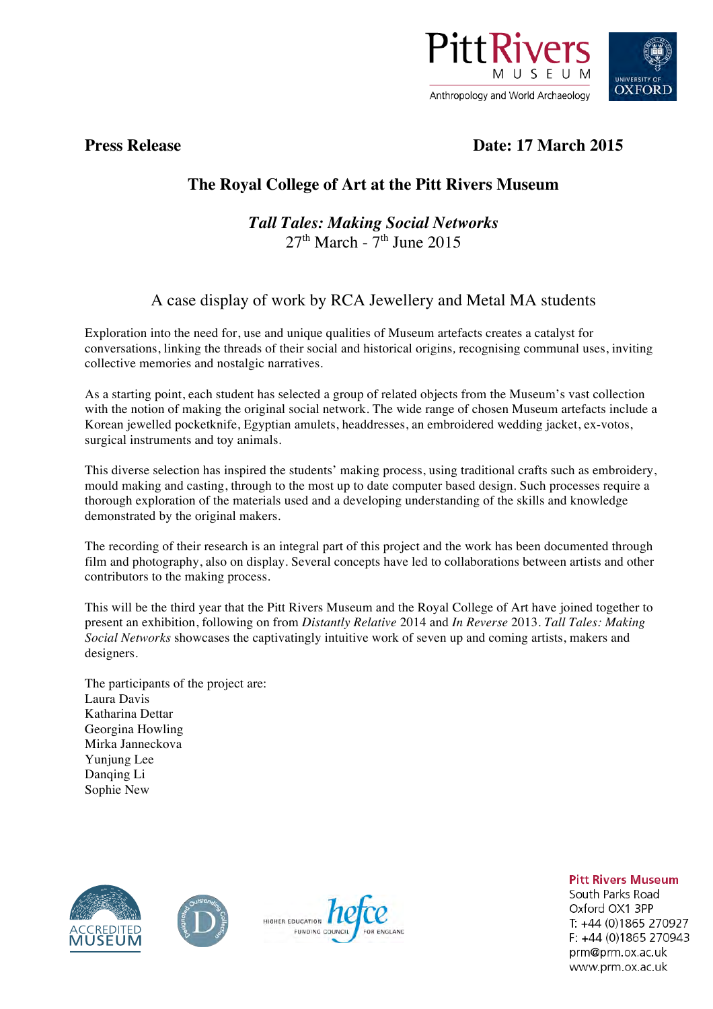

# **Press Release Date: 17 March 2015**

# **The Royal College of Art at the Pitt Rivers Museum**

### *Tall Tales: Making Social Networks*  $27<sup>th</sup>$  March -  $7<sup>th</sup>$  June 2015

## A case display of work by RCA Jewellery and Metal MA students

Exploration into the need for, use and unique qualities of Museum artefacts creates a catalyst for conversations, linking the threads of their social and historical origins*,* recognising communal uses, inviting collective memories and nostalgic narratives.

As a starting point, each student has selected a group of related objects from the Museum's vast collection with the notion of making the original social network. The wide range of chosen Museum artefacts include a Korean jewelled pocketknife, Egyptian amulets, headdresses, an embroidered wedding jacket, ex-votos, surgical instruments and toy animals.

This diverse selection has inspired the students' making process, using traditional crafts such as embroidery, mould making and casting, through to the most up to date computer based design. Such processes require a thorough exploration of the materials used and a developing understanding of the skills and knowledge demonstrated by the original makers.

The recording of their research is an integral part of this project and the work has been documented through film and photography, also on display. Several concepts have led to collaborations between artists and other contributors to the making process.

This will be the third year that the Pitt Rivers Museum and the Royal College of Art have joined together to present an exhibition, following on from *Distantly Relative* 2014 and *In Reverse* 2013. *Tall Tales: Making Social Networks* showcases the captivatingly intuitive work of seven up and coming artists, makers and designers.

The participants of the project are: Laura Davis Katharina Dettar Georgina Howling Mirka Janneckova Yunjung Lee Danqing Li Sophie New







**Pitt Rivers Museum** 

South Parks Road Oxford OX1 3PP T: +44 (0)1865 270927 F: +44 (0)1865 270943 prm@prm.ox.ac.uk www.prm.ox.ac.uk